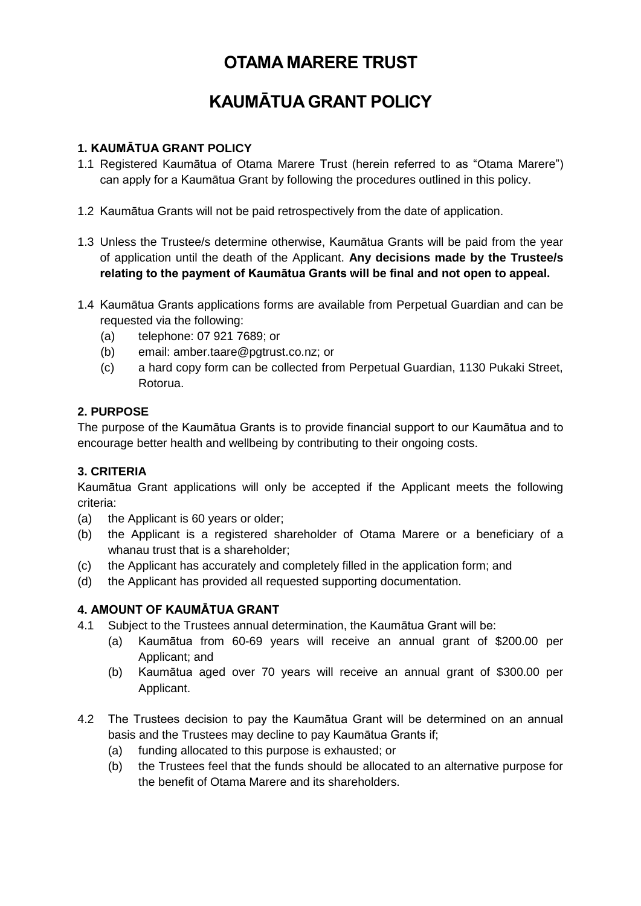# **OTAMA MARERE TRUST**

# **KAUMĀTUA GRANT POLICY**

## **1. KAUMĀTUA GRANT POLICY**

- 1.1 Registered Kaumātua of Otama Marere Trust (herein referred to as "Otama Marere") can apply for a Kaumātua Grant by following the procedures outlined in this policy.
- 1.2 Kaumātua Grants will not be paid retrospectively from the date of application.
- 1.3 Unless the Trustee/s determine otherwise, Kaumātua Grants will be paid from the year of application until the death of the Applicant. **Any decisions made by the Trustee/s relating to the payment of Kaumātua Grants will be final and not open to appeal.**
- 1.4 Kaumātua Grants applications forms are available from Perpetual Guardian and can be requested via the following:
	- (a) telephone: 07 921 7689; or
	- (b) email: [amber.taare@pgtrust.co.nz;](mailto:amber.taare@pgtrust.co.nz) or
	- (c) a hard copy form can be collected from Perpetual Guardian, 1130 Pukaki Street, Rotorua.

## **2. PURPOSE**

The purpose of the Kaumātua Grants is to provide financial support to our Kaumātua and to encourage better health and wellbeing by contributing to their ongoing costs.

## **3. CRITERIA**

Kaumātua Grant applications will only be accepted if the Applicant meets the following criteria:

- (a) the Applicant is 60 years or older;
- (b) the Applicant is a registered shareholder of Otama Marere or a beneficiary of a whanau trust that is a shareholder;
- (c) the Applicant has accurately and completely filled in the application form; and
- (d) the Applicant has provided all requested supporting documentation.

## **4. AMOUNT OF KAUMĀTUA GRANT**

- 4.1 Subject to the Trustees annual determination, the Kaumātua Grant will be:
	- (a) Kaumātua from 60-69 years will receive an annual grant of \$200.00 per Applicant; and
	- (b) Kaumātua aged over 70 years will receive an annual grant of \$300.00 per Applicant.
- 4.2 The Trustees decision to pay the Kaumātua Grant will be determined on an annual basis and the Trustees may decline to pay Kaumātua Grants if;
	- (a) funding allocated to this purpose is exhausted; or
	- (b) the Trustees feel that the funds should be allocated to an alternative purpose for the benefit of Otama Marere and its shareholders.